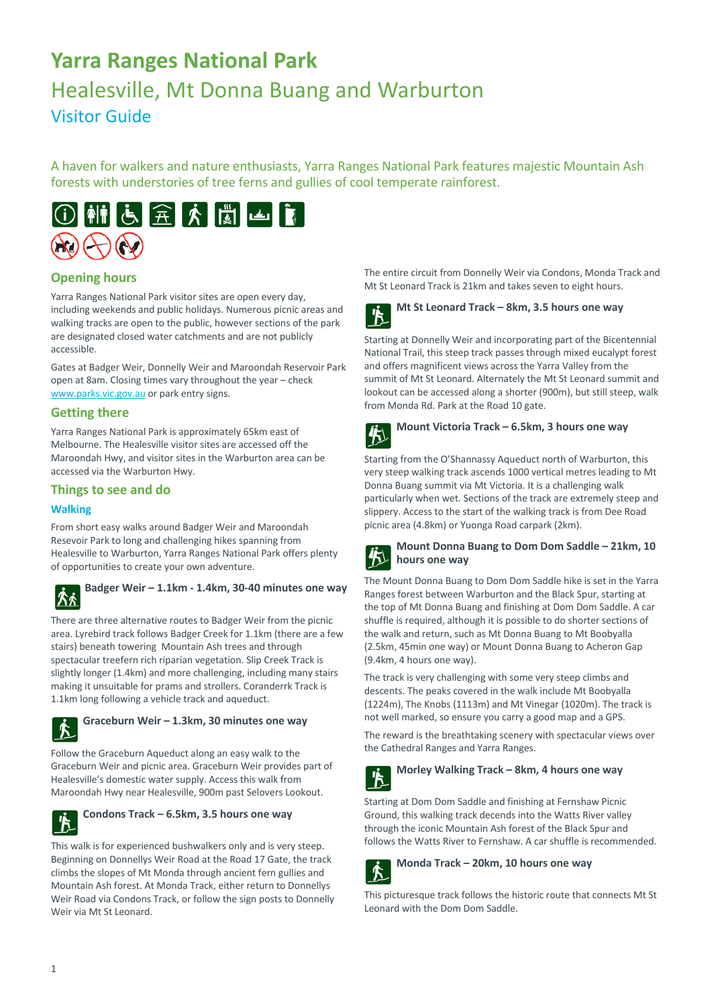# **Yarra Ranges National Park**

### Healesville, Mt Donna Buang and Warburton Visitor Guide

A haven for walkers and nature enthusiasts, Yarra Ranges National Park features majestic Mountain Ash forests with understories of tree ferns and gullies of cool temperate rainforest.



#### **Opening hours**

Yarra Ranges National Park visitor sites are open every day, including weekends and public holidays. Numerous picnic areas and walking tracks are open to the public, however sections of the park are designated closed water catchments and are not publicly accessible.

Gates at Badger Weir, Donnelly Weir and Maroondah Reservoir Park open at 8am. Closing times vary throughout the year – check www.parks.vic.gov.au or park entry signs.

#### **Getting there**

Yarra Ranges National Park is approximately 65km east of Melbourne. The Healesville visitor sites are accessed off the Maroondah Hwy, and visitor sites in the Warburton area can be accessed via the Warburton Hwy.

#### **Things to see and do**

#### **Walking**

From short easy walks around Badger Weir and Maroondah Resevoir Park to long and challenging hikes spanning from Healesville to Warburton, Yarra Ranges National Park offers plenty of opportunities to create your own adventure.



## **Badger Weir – 1.1km ‐ 1.4km, 30‐40 minutes one way**

There are three alternative routes to Badger Weir from the picnic area. Lyrebird track follows Badger Creek for 1.1km (there are a few stairs) beneath towering Mountain Ash trees and through spectacular treefern rich riparian vegetation. Slip Creek Track is slightly longer (1.4km) and more challenging, including many stairs making it unsuitable for prams and strollers. Coranderrk Track is 1.1km long following a vehicle track and aqueduct.



## **Graceburn Weir – 1.3km, 30 minutes one way**

Follow the Graceburn Aqueduct along an easy walk to the Graceburn Weir and picnic area. Graceburn Weir provides part of Healesville's domestic water supply. Access this walk from Maroondah Hwy near Healesville, 900m past Selovers Lookout.



### **Condons Track – 6.5km, 3.5 hours one way**

This walk is for experienced bushwalkers only and is very steep. Beginning on Donnellys Weir Road at the Road 17 Gate, the track climbs the slopes of Mt Monda through ancient fern gullies and Mountain Ash forest. At Monda Track, either return to Donnellys Weir Road via Condons Track, or follow the sign posts to Donnelly Weir via Mt St Leonard.

The entire circuit from Donnelly Weir via Condons, Monda Track and Mt St Leonard Track is 21km and takes seven to eight hours.

## **Mt St Leonard Track – 8km, 3.5 hours one way**

Starting at Donnelly Weir and incorporating part of the Bicentennial National Trail, this steep track passes through mixed eucalypt forest and offers magnificent views across the Yarra Valley from the summit of Mt St Leonard. Alternately the Mt St Leonard summit and lookout can be accessed along a shorter (900m), but still steep, walk from Monda Rd. Park at the Road 10 gate.



### **Mount Victoria Track – 6.5km, 3 hours one way**

Starting from the O'Shannassy Aqueduct north of Warburton, this very steep walking track ascends 1000 vertical metres leading to Mt Donna Buang summit via Mt Victoria. It is a challenging walk particularly when wet. Sections of the track are extremely steep and slippery. Access to the start of the walking track is from Dee Road picnic area (4.8km) or Yuonga Road carpark (2km).



#### **Mount Donna Buang to Dom Dom Saddle – 21km, 10 hours one way**

The Mount Donna Buang to Dom Dom Saddle hike is set in the Yarra Ranges forest between Warburton and the Black Spur, starting at the top of Mt Donna Buang and finishing at Dom Dom Saddle. A car shuffle is required, although it is possible to do shorter sections of the walk and return, such as Mt Donna Buang to Mt Boobyalla (2.5km, 45min one way) or Mount Donna Buang to Acheron Gap (9.4km, 4 hours one way).

The track is very challenging with some very steep climbs and descents. The peaks covered in the walk include Mt Boobyalla (1224m), The Knobs (1113m) and Mt Vinegar (1020m). The track is not well marked, so ensure you carry a good map and a GPS.

The reward is the breathtaking scenery with spectacular views over the Cathedral Ranges and Yarra Ranges.



### **Morley Walking Track – 8km, 4 hours one way**

Starting at Dom Dom Saddle and finishing at Fernshaw Picnic Ground, this walking track decends into the Watts River valley through the iconic Mountain Ash forest of the Black Spur and follows the Watts River to Fernshaw. A car shuffle is recommended.



#### **Monda Track – 20km, 10 hours one way**

This picturesque track follows the historic route that connects Mt St Leonard with the Dom Dom Saddle.